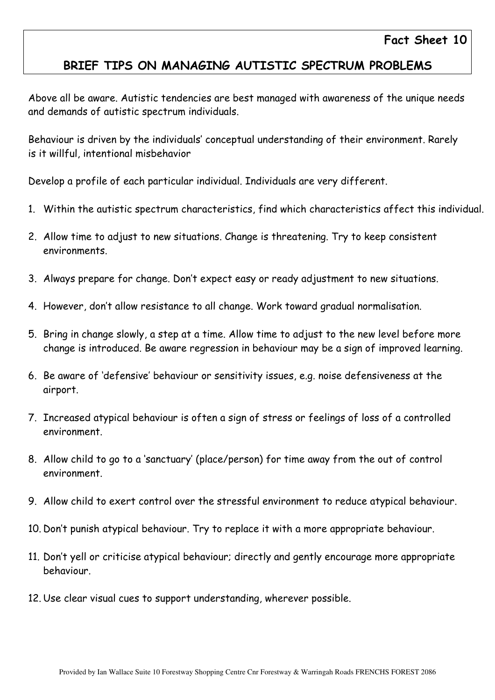## BRIEF TIPS ON MANAGING AUTISTIC SPECTRUM PROBLEMS

Above all be aware. Autistic tendencies are best managed with awareness of the unique needs and demands of autistic spectrum individuals.

Behaviour is driven by the individuals' conceptual understanding of their environment. Rarely is it willful, intentional misbehavior

Develop a profile of each particular individual. Individuals are very different.

- 1. Within the autistic spectrum characteristics, find which characteristics affect this individual.
- 2. Allow time to adjust to new situations. Change is threatening. Try to keep consistent environments.
- 3. Always prepare for change. Don't expect easy or ready adjustment to new situations.
- 4. However, don't allow resistance to all change. Work toward gradual normalisation.
- 5. Bring in change slowly, a step at a time. Allow time to adjust to the new level before more change is introduced. Be aware regression in behaviour may be a sign of improved learning.
- 6. Be aware of 'defensive' behaviour or sensitivity issues, e.g. noise defensiveness at the airport.
- 7. Increased atypical behaviour is often a sign of stress or feelings of loss of a controlled environment.
- 8. Allow child to go to a 'sanctuary' (place/person) for time away from the out of control environment.
- 9. Allow child to exert control over the stressful environment to reduce atypical behaviour.
- 10. Don't punish atypical behaviour. Try to replace it with a more appropriate behaviour.
- 11. Don't yell or criticise atypical behaviour; directly and gently encourage more appropriate behaviour.
- 12. Use clear visual cues to support understanding, wherever possible.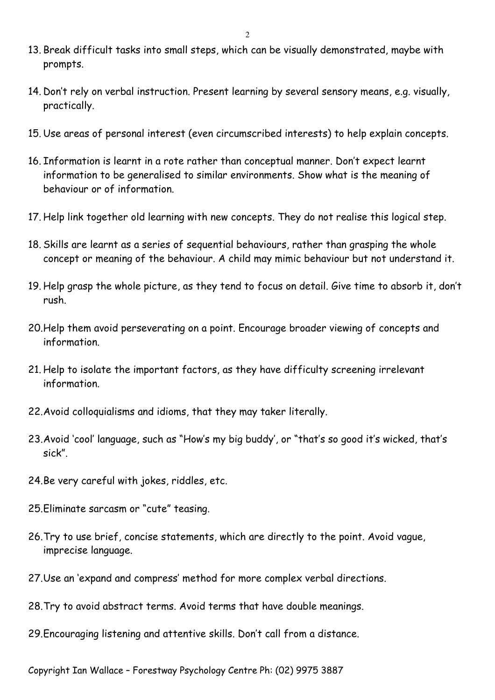- 13. Break difficult tasks into small steps, which can be visually demonstrated, maybe with prompts.
- 14. Don't rely on verbal instruction. Present learning by several sensory means, e.g. visually, practically.
- 15. Use areas of personal interest (even circumscribed interests) to help explain concepts.
- 16. Information is learnt in a rote rather than conceptual manner. Don't expect learnt information to be generalised to similar environments. Show what is the meaning of behaviour or of information.
- 17. Help link together old learning with new concepts. They do not realise this logical step.
- 18. Skills are learnt as a series of sequential behaviours, rather than grasping the whole concept or meaning of the behaviour. A child may mimic behaviour but not understand it.
- 19. Help grasp the whole picture, as they tend to focus on detail. Give time to absorb it, don't rush.
- 20.Help them avoid perseverating on a point. Encourage broader viewing of concepts and information.
- 21. Help to isolate the important factors, as they have difficulty screening irrelevant information.
- 22.Avoid colloquialisms and idioms, that they may taker literally.
- 23.Avoid 'cool' language, such as "How's my big buddy', or "that's so good it's wicked, that's sick".
- 24.Be very careful with jokes, riddles, etc.
- 25.Eliminate sarcasm or "cute" teasing.
- 26.Try to use brief, concise statements, which are directly to the point. Avoid vague, imprecise language.
- 27.Use an 'expand and compress' method for more complex verbal directions.
- 28.Try to avoid abstract terms. Avoid terms that have double meanings.
- 29.Encouraging listening and attentive skills. Don't call from a distance.